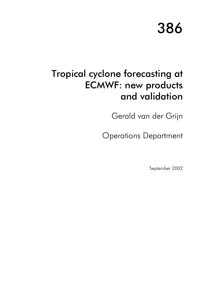# 386

# Tropical cyclone forecasting at **ECMWF: new products** and validation

Gerald van der Grijn

**Operations Department** 

September 2002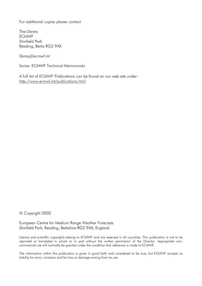For additional copies please contact

The Library **FCMWF** Shinfield Park Reading, Berks RG2 9AX

library@ecmwf.int

Series: ECMWF Technical Memoranda

A full list of ECMWF Publications can be found on our web site under: http://www.ecmwf.int/publications.html

© Copyright 2002

European Centre for Medium Range Weather Forecasts Shinfield Park, Reading, Berkshire RG2 9AX, England

Literary and scientific copyrights belong to ECMWF and are reserved in all countries. This publication is not to be reprinted or translated in whole or in part without the written permission of the Director. Appropriate noncommercial use will normally be granted under the condition that reference is made to ECMWF.

The information within this publication is given in good faith and considered to be true, but ECMWF accepts no liability for error, omission and for loss or damage arising from its use.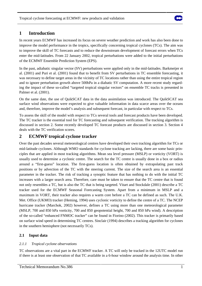

# **1 Introduction**

In recent years ECMWF has increased its focus on severe weather prediction and work has also been done to improve the model performance in the tropics, specifically concerning tropical cyclones (TCs). The aim was to improve the skill of TC forecasts and to reduce the downstream development of forecast errors when TCs enter the mid-latitudes. From 22 January 2002, tropical perturbations were added to the initial perturbations of the ECMWF Ensemble Prediction System (EPS).

In the past, adiabatic singular vector (SV) perturbations were applied only in the mid-latitudes. Barkmeijer et al. (2001) and Puri et al. (2001) found that to benefit from SV perturbations in TC ensemble forecasting, it was necessary to define target areas in the vicinity of TC locations rather than using the entire tropical region and to ignore perturbation growth above 500hPa in a diabatic SV computation. A more recent study regarding the impact of these so-called "targeted tropical singular vectors" on ensemble TC tracks is presented in Palmer et al. (2001).

On the same date, the use of QuikSCAT data in the data assimilation was introduced. The QuikSCAT sea surface wind observations were expected to give valuable information in data scarce areas over the oceans and, therefore, improve the model's analysis and subsequent forecast, in particular with respect to TCs.

To assess the skill of the model with respect to TCs several tools and forecast products have been developed. The TC tracker is the essential tool for TC forecasting and subsequent verification. The tracking algorithm is discussed in section 2. Some recently developed TC forecast products are discussed in section 3. Section 4 deals with the TC verification scores.

# **2 ECMWF tropical cyclone tracker**

Over the past decades several meteorological centres have developed their own tracking algorithm for TCs or mid-latitude cyclones. Although WMO standards for cyclone tracking are lacking, there are some basic principles that are applied in most tracking algorithms. Mean sea level pressure (MSLP) or vorticity (VORT) is usually used to determine a cyclonic centre. The search for the TC centre is usually done in a box or radius around a "first-guess" location. The first-guess location is often obtained by extrapolating past track positions or by advection of the TC with the steering current. The size of the search area is an essential parameter in the tracker. The risk of tracking a synoptic feature that has nothing to do with the initial TC increases with a larger search area. Therefore, care must be taken to ensure that the TC centre that is found not only resembles a TC, but is also the TC that is being targeted. Vitart and Stockdale (2001) describe a TC tracker used for the ECMWF Seasonal Forecasting System. Apart from a minimum in MSLP and a maximum in VORT, their tracker also requires a warm core before a TC can be defined as such. The U.K. Met. Office (UKMO) tracker (Heming, 1994) uses cyclonic vorticity to define the centre of a TC. The NCEP hurricane tracker (Marchok, 2002) however, defines a TC using more than one meteorological parameter (MSLP, 700 and 850 hPa vorticity, 700 and 850 geopotential height, 700 and 850 hPa wind). A description of the so-called "enhanced FNMOC tracker" can be found in Fiorino (2002). This tracker is primarily based on surface wind speed in determining TC centres. Sinclair (1994) describes a tracking algorithm for cyclones in the southern hemisphere (not necessarily TCs).

# **2.1 Input data**

# *2.1.1 Tropical cyclone observations*

TC observations are a vital part in the ECMWF tracker. A TC will only be tracked in the 12UTC model run if there is at least one observation of that TC available in a 6-hour window around the analysis time. In other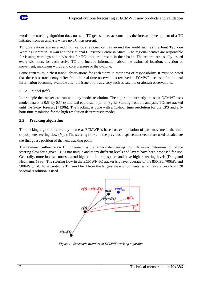

words, the tracking algorithm does not take TC genesis into account - i.e. the forecast development of a TC initiated from an analysis where no TC was present.

TC observations are received from various regional centres around the world such as the Joint Typhoon Warning Centre in Hawaii and the National Hurricane Centre in Miami. The regional centres are responsible for issuing warnings and advisories for TCs that are present in their basin. The reports are usually issued every six hours for each active TC and include information about the estimated location, direction of movement, maximum winds and core pressure of the cyclone.

Some centres issue "best track" observations for each storm in their area of responsibility. It must be noted that these best tracks may differ from the real time observations received at ECMWF because of additional information becoming available after the issue of the advisory such as satellite or aircraft observations.

### *2.1.2 Model fields*

In principle the tracker can run with any model resolution. The algorithm currently in use at ECMWF uses model data on a 0.5° by 0.5° cylindrical equidistant (lat-lon) grid. Starting from the analysis, TCs are tracked until the 5-day forecast (+120h). The tracking is done with a 12-hour time resolution for the EPS and a 6 hour time resolution for the high-resolution deterministic model.

# **2.2 Tracking algorithm**

The tracking algorithm currently in use at ECMWF is based on extrapolation of past movement, the midtroposphere steering flow  $(V_{av})$ . The steering flow and the previous displacement vector are used to calculate

the first guess position of the next tracking point.

The dominant influence on TC movement is the large-scale steering flow. However, determination of the steering flow for a given TC is not unique and many different levels and layers have been proposed for use. Generally, more intense storms extend higher in the troposphere and have higher steering levels (Dong and Neumann, 1986). The steering flow in the ECMWF TC tracker is a layer average of the 850hPa, 700hPa and 500hPa wind. To separate the TC wind field from the large-scale environmental wind fields a very low T20 spectral resolution is used.



*Figure 1: Schematic overview of ECMWF tracking algorithm*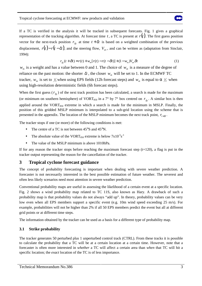If a TC is verified in the analysis it will be tracked in subsequent forecasts. Fig. 1 gives a graphical representation of the tracking algorithm. At forecast time  $t$ , a TC is present at  $r(t)$ . The first guess position vector for the next-track position  $r_{fg}$  at time  $t + \delta t$  is based on a weighted combination of the previous displacement,  $r(t) - r(t - \delta t)$ , and the steering flow,  $V_{av}$ , and can be written as (adaptation from Sinclair, 1994):

$$
r_{fg}(t + \delta t) = r(t) + w_m[r(t) - r(t - \delta t)] + (1 - w_m)V_{av}\delta t
$$
\n(1)

 $w_m$  is a weight and has a value between 0 and 1. The choice of  $w_m$  is a measure of the degree of reliance on the past motion: the shorter  $\delta t$ , the closer  $w_m$  will be set to 1. In the ECMWF TC tracker,  $w_m$  is set to  $\frac{1}{3}$  when using EPS fields (12h forecast steps) and  $w_m$  is equal to  $\alpha \frac{1}{2}$  when using high-resolution deterministic fields (6h forecast steps).

When the first guess ( $r_{fg}$ ) of the next track position has been calculated, a search is made for the maximum (or minimum on southern hemisphere) of VORT<sub>850</sub> in a 7<sup>°</sup> by 7<sup>°</sup> box centred on  $r_f$ . A similar box is then applied around the  $VORT<sub>850</sub>$  extreme in which a search is made for the minimum in MSLP. Finally, the position of this gridded MSLP minimum is interpolated to a sub-grid location using the scheme that is presented in the appendix. The location of the MSLP minimum becomes the next track point,  $r_{t+\delta t}$ .

The tracker stops if one (or more) of the following conditions is met:

- The centre of a TC is not between  $45^{\circ}$ S and  $45^{\circ}$ N.
- The absolute value of the VORT<sub>850</sub> extreme is below  $7x10^{-5}s^{-1}$
- The value of the MSLP minimum is above 1010hPa.

If for any reason the tracker stops before reaching the maximum forecast step  $(t+120)$ , a flag is put in the tracker output representing the reason for the cancellation of the tracker.

# **3 Tropical cyclone forecast guidance**

The concept of probability forecasting is important when dealing with severe weather prediction. A forecaster is not necessarily interested in the best possible estimation of future weather. The severest and often less likely scenarios need most attention in severe weather prediction.

Conventional probability maps are useful in assessing the likelihood of a certain event at a specific location. Fig. 2 shows a wind probability map related to TC 11S, also known as Hary. A drawback of such a probability map is that probability values do not always "add up". In theory, probability values can be very low even when all EPS members support a specific event (e.g. 10m wind speed exceeding 25 m/s). For example, probabilities will not be higher than 2% if all 50 EPS members predict the event but all at different grid points or at different time steps.

The information obtained by the tracker can be used as a basis for a different type of probability map.

# **3.1 Strike probability**

The tracker generates 50 perturbed plus 1 unperturbed control track (CTRL). From these tracks it is possible to calculate the probability that a TC will be at a certain location at a certain time. However, note that a forecaster is often more interested in *whether* a TC will affect a certain area than *when* that TC will hit a specific location; the *exact* location of the TC is of less importance.

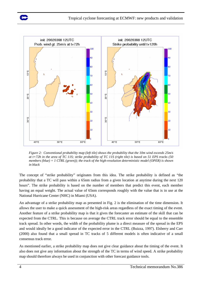



*Figure 2: Conventional probability map (left tile) shows the probability that the 10m wind exceeds 25m/s at t+72h in the area of TC 11S; strike probability of TC 11S (right tile) is based on 51 EPS tracks (50 members (blue) + 1 CTRL (green)); the track of the high-resolution deterministic model (OPER) is shown in black* 

The concept of "strike probability" originates from this idea. The strike probability is defined as "the probability that a TC will pass within a 65nm radius from a given location at anytime during the next 120 hours". The strike probability is based on the number of members that predict this event, each member having an equal weight. The actual value of 65nm corresponds roughly with the value that is in use at the National Hurricane Center (NHC) in Miami (USA).

An advantage of a strike probability map as presented in Fig. 2 is the elimination of the time dimension. It allows the user to make a quick assessment of the high-risk areas regardless of the exact timing of the event. Another feature of a strike probability map is that it gives the forecaster an estimate of the skill that can be expected from the CTRL. This is because on average the CTRL track error should be equal to the ensemble track spread. In other words, the width of the probability plume is a direct measure of the spread in the EPS and would ideally be a good indicator of the expected error in the CTRL (Buizza, 1997). Elsberry and Carr (2000) also found that a small spread in TC tracks of 5 different models is often indicative of a small consensus track error.

As mentioned earlier, a strike probability map does not give clear guidance about the timing of the event. It also does not give any information about the strength of the TC in terms of wind speed. A strike probability map should therefore always be used in conjunction with other forecast guidance tools.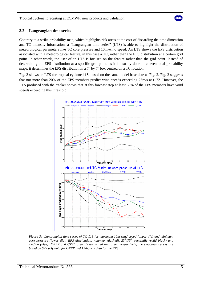

### **3.2 Langrangian time series**

Contrary to a strike probability map, which highlights risk areas at the cost of discarding the time dimension and TC intensity information, a "Langrangian time series" (LTS) is able to highlight the distribution of meteorological parameters like TC core pressure and 10m-wind speed. An LTS shows the EPS distribution associated with a meteorological feature, in this case a TC, rather than the EPS distribution at a certain grid point. In other words, the user of an LTS is focused on the feature rather than the grid point. Instead of determining the EPS distribution at a specific grid point, as it is usually done in conventional probability maps, it determines the EPS distribution in a 7° by 7° box centred on a TC location.

Fig. 3 shows an LTS for tropical cyclone 11S, based on the same model base date as Fig. 2. Fig. 2 suggests that not more than 20% of the EPS members predict wind speeds exceeding 25m/s at t+72. However, the LTS produced with the tracker shows that at this forecast step at least 50% of the EPS members have wind speeds exceeding this threshold.



*Figure 3: Langrangian time series of TC 11S for maximum 10m-wind speed (upper tile) and minimum core pressure (lower tile); EPS distribution: min/max (dashed), 25th/75th percentile (solid black) and median (blue); OPER and CTRL area shown in red and green respectively; the smoothed curves are based on 6-hourly data for OPER and 12-hourly data for the EPS*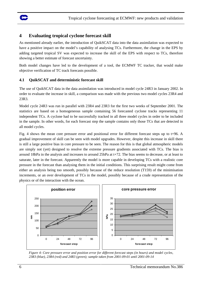

# **4 Evaluating tropical cyclone forecast skill**

As mentioned already earlier, the introduction of QuikSCAT data into the data assimilation was expected to have a positive impact on the model's capability of analysing TCs. Furthermore, the change in the EPS by adding targeted tropical SV was expected to increase the skill of the EPS with respect to TCs, therefore showing a better estimate of forecast uncertainty.

Both model changes have led to the development of a tool, the ECMWF TC tracker, that would make objective verification of TC track forecasts possible.

# **4.1 QuikSCAT and deterministic forecast skill**

The use of QuikSCAT data in the data assimilation was introduced in model cycle 24R3 in January 2002. In order to evaluate the increase in skill, a comparison was made with the previous two model cycles 23R4 and 23R3.

Model cycle 24R3 was run in parallel with 23R4 and 23R3 for the first two weeks of September 2001. The statistics are based on a homogeneous sample containing 56 forecasted cyclone tracks representing 11 independent TCs. A cyclone had to be successfully tracked in all three model cycles in order to be included in the sample. In other words, for each forecast step the sample contains only those TCs that are detected in all model cycles.

Fig. 4 shows the mean core pressure error and positional error for different forecast steps up to t+96. A gradual improvement of skill can be seen with model upgrades. However, despite this increase in skill there is still a large positive bias in core pressure to be seen. The reason for this is that global atmospheric models are simply not (yet) designed to resolve the extreme pressure gradients associated with TCs. The bias is around 18hPa in the analysis and increases to around 25hPa at t+72. The bias seems to decrease, or at least to saturate, later in the forecast. Apparently the model is more capable in developing TCs with a realistic core pressure in the forecast than analysing them in the initial conditions. This surprising result might come from either an analysis being too smooth, possibly because of the reduce resolution (T159) of the minimisation increments, or an over development of TCs in the model, possibly because of a crude representation of the physics or of the interaction with the ocean.



*Figure 4: Core pressure error and position error for different forecast steps (in hours) and model cycles, 23R3 (blue), 23R4 (red) and 24R3 (green); sample taken from 2001-09-01 until 2001-09-14*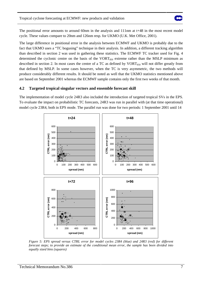

The positional error amounts to around 60nm in the analysis and 111nm at t+48 in the most recent model cycle. These values compare to 20nm and 126nm resp. for UKMO (U.K. Met Office, 2001).

The large difference in positional error in the analysis between ECMWF and UKMO is probably due to the fact that UKMO uses a "TC bogusing" technique in their analysis. In addition, a different tracking algorithm than described in section 2 was used in gathering these statistics. The ECMWF TC tracker used for Fig. 4 determined the cyclonic centre on the basis of the  $VORT<sub>850</sub>$  extreme rather than the MSLP minimum as described in section 2. In most cases the centre of a TC as defined by  $VORT<sub>850</sub>$  will not differ greatly from that defined by MSLP. In some cases however, when the TC is very asymmetric, the two methods will produce considerably different results. It should be noted as well that the UKMO statistics mentioned above are based on September 2001 whereas the ECMWF sample contains only the first two weeks of that month.

# **4.2 Targeted tropical singular vectors and ensemble forecast skill**

The implementation of model cycle 24R3 also included the introduction of targeted tropical SVs in the EPS. To evaluate the impact on probabilistic TC forecasts, 24R3 was run in parallel with (at that time operational) model cycle 23R4, both in EPS mode. The parallel run was done for two periods: 1 September 2001 until 14



*Figure 5: EPS spread versus CTRL error for model cycles 23R4 (blue) and 24R3 (red) for different forecast steps; to provide an estimate of the conditional mean error, the sample has been divided into equally sized bins (squares)*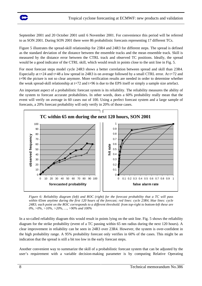

September 2001 and 20 October 2001 until 6 November 2001. For convenience this period will be referred to as SON 2001. During SON 2001 there were 86 probabilistic forecasts representing 17 different TCs.

Figure 5 illustrates the spread-skill relationship for 23R4 and 24R3 for different steps. The spread is defined as the standard deviation of the distance between the ensemble tracks and the mean ensemble track. Skill is measured by the distance error between the CTRL track and observed TC positions. Ideally, the spread would be a good indicator of the CTRL skill, which would result in points close to the unit line in Fig. 5.

For most forecast steps model cycle 24R3 shows a better correlation between spread and skill than 23R4. Especially at t+24 and t+48 a low spread in 24R3 is on average followed by a small CTRL error. At t+72 and t+96 the picture is not so clear anymore. More verification results are needed in order to determine whether the weak spread-skill relationship at t+72 and t+96 is due to the EPS itself or simply a sample size artefact.

An important aspect of a probabilistic forecast system is its reliability. The reliability measures the ability of the system to forecast accurate probabilities. In other words, does a 60% probability really mean that the event will verify on average in 60 cases out of 100. Using a perfect forecast system and a large sample of forecasts, a 20% forecast probability will only verify in 20% of those cases.



*Figure 6: Reliability diagram (left) and ROC (right) for the forecast probability that a TC will pass within 65nm anytime during the first 120 hours of the forecast; red lines: cycle 23R4, blue lines: cycle 24R3; each point on the ROC corresponds to a different threshold: from top-right to bottom-left these are 0%, >0%, >10%, >20%, …, >90% and 100%* 

In a so-called reliability diagram this would result in points lying on the unit line. Fig. 5 shows the reliability diagram for the strike probability (event of a TC passing within 65 nm radius during the next 120 hours). A clear improvement in reliability can be seen in 24R3 over 23R4. However, the system is over-confident in the high probability range. A 95% probability forecast only verifies in 60% of the cases. This might be an indication that the spread is still a bit too low in the early forecast steps.

Another convenient way to summarize the skill of a probabilistic forecast system that can be adjusted by the user's requirement with a variable decision-making parameter is by computing Relative Operating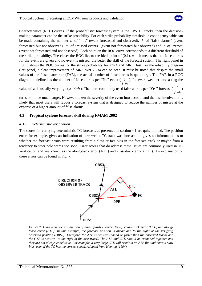

Characteristics (ROC) curves. If the probabilistic forecast system is the EPS TC tracks, then the decisionmaking parameter can be the strike probability. For each strike probability threshold, a contingency table can be made containing the number *h* of "hits" (event forecasted and observed), *f* of "false alarms" (event forecasted but not observed), *m* of "missed events" (event not forecasted but observed) and *z* of "zeros" (event not forecasted and not observed). Each point on the ROC curve corresponds to a different threshold of the strike probability. The closer the ROC lies to the ideal point of (0,1), which means that no false alarms for the event are given and no event is missed, the better the skill of the forecast system. The right panel in Fig. 5 shows the ROC curves for the strike probability for 23R4 and 24R3. Just like the reliability diagram (left panel) a clear improvement of 24R3 over 23R4 can be seen. It must be noted that despite the small values of the false alarm rate (FAR), the actual number of false alarms is quite large. The FAR in a ROC diagram is defined as the number of false alarms per "No" event  $(f)$ ). In severe weather forecasting the *f z* +

value of *z* is usually very high ( $z \gg h$ ). The more commonly used false alarms per "Yes" forecast ( $f \choose$ ) *f h* +

turns out to be much larger. However, taken the severity of the event into account and the loss involved, it is likely that most users will favour a forecast system that is designed to reduce the number of misses at the expense of a higher amount of false alarms.

# **4.3 Tropical cyclone forecast skill during FMAM 2002**

### *4.3.1 Deterministic verification*

The scores for verifying deterministic TC forecasts as presented in section 4.1 are quite limited. The position error, for example, gives an indication of how well a TC track was forecast but gives no information as to whether the forecast errors were resulting from a slow or fast bias in the forecast track or maybe from a tendency to steer pole wards too soon. Error scores that do address these issues are commonly used in TC verification and are known as the along-track error (ATE) and cross-track error (CTE). An explanation of these errors can be found in Fig. 7.



*Figure 7: Diagrammatic explanation of direct position error (DPE), cross-track error (CTE) and alongtrack error (ATE). In this example, the forecast position is ahead and to the right of the verifying observed position (OBS2). Therefore, the ATE is positive (ahead or faster than the observed track) and the CTE is positive (to the right of the best track). The ATE and CTE should be examined together and they are not always conclusive. For example, a very large CTE will result in an ATE that indicates a slow bias, even if the TC has the correct speed. Adapted from Heming (1994).*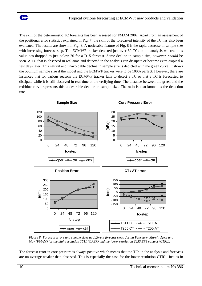

The skill of the deterministic TC forecasts has been assessed for FMAM 2002. Apart from an assessment of the positional error statistics explained in Fig. 7, the skill of the forecasted intensity of the TC has also been evaluated. The results are shown in Fig. 8. A noticeable feature of Fig. 8 is the rapid decrease in sample size with increasing forecast step. The ECMWF tracker detected just over 80 TCs in the analysis whereas this value has dropped to just below 20 for a D+5 forecast. Some decline in sample size, however, *should* be seen. A TC that is observed in real-time and detected in the analysis can dissipate or become extra-tropical a few days later. This natural and unavoidable decline in sample size is depicted with the green curve. It shows the optimum sample size if the model and the ECMWF tracker were to be 100% perfect. However, there are instances that for various reasons the ECMWF tracker fails to detect a TC or that a TC is forecasted to dissipate while it is still observed in real-time at the verifying time. The distance between the green and the red/blue curve represents this undesirable decline in sample size. The ratio is also known as the detection rate.



*Figure 8: Forecast errors and sample sizes at different forecast steps during February, March, April and May (FMAM) for the high resolution T511 (OPER) and the lower resolution T255 EPS control (CTRL).* 

The forecast error in core pressure is always positive which means that the TCs in the analysis and forecasts are on average weaker than observed. This is especially the case for the lower resolution CTRL. Just as in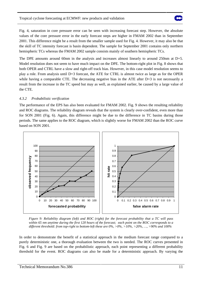

Fig. 4, saturation in core pressure error can be seen with increasing forecast step. However, the absolute values of the core pressure error in the early forecast steps are higher in FMAM 2002 than in September 2001. This difference might be a result from the smaller sample used for Fig. 4. However, it may also be that the skill of TC intensity forecast is basin dependent. The sample for September 2001 contains only northern hemispheric TCs whereas the FMAM 2002 sample consists mainly of southern hemispheric TCs.

The DPE amounts around 60nm in the analysis and increases almost linearly to around 250nm at D+5. Model resolution does not seem to have much impact on the DPE. The bottom-right plot in Fig. 8 shows that both OPER and CTRL have a slow and right-off track bias. However, in this case model resolution seems to play a role. From analysis until D+3 forecast, the ATE for CTRL is almost twice as large as for the OPER while having a comparable CTE. The decreasing negative bias in the ATE after D+3 is not necessarily a result from the increase in the TC speed but may as well, as explained earlier, be caused by a large value of the CTE.

### *4.3.2 Probabilistic verification*

The performance of the EPS has also been evaluated for FMAM 2002. Fig. 9 shows the resulting reliability and ROC diagrams. The reliability diagram reveals that the system is clearly over-confident, even more than for SON 2001 (Fig. 6). Again, this difference might be due to the difference in TC basins during those periods. The same applies to the ROC diagram, which is slightly worse for FMAM 2002 than the ROC curve based on SON 2001.



*Figure 9: Reliability diagram (left) and ROC (right) for the forecast probability that a TC will pass within 65 nm anytime during the first 120 hours of the forecast; each point on the ROC corresponds to a different threshold: from top-right to bottom-left these are 0%, >0%, >10%, >20%, …, >90% and 100%* 

In order to demonstrate the benefit of a statistical approach in the medium forecast range compared to a purely deterministic one, a thorough evaluation between the two is needed. The ROC curves presented in Fig. 6 and Fig. 9 are based on the probabilistic approach, each point representing a different probability threshold for the event. ROC diagrams can also be made for a deterministic approach. By varying the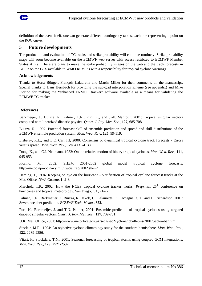

definition of the event itself, one can generate different contingency tables, each one representing a point on the ROC curve.

# **5 Future developments**

The production and evaluation of TC tracks and strike probability will continue routinely. Strike probability maps will soon become available on the ECMWF web server with access restricted to ECMWF Member States at first. There are plans to make the strike probability images on the web and the track forecasts in BUFR on the GTS available to WMO RSMC's with a responsibility for tropical cyclone warnings.

### **Acknowledgements**

Thanks to Horst Böttger, François Lalaurette and Martin Miller for their comments on the manuscript. Special thanks to Hans Hersbach for providing the sub-grid interpolation scheme (see appendix) and Mike Fiorino for making the "enhanced FNMOC tracker" software available as a means for validating the ECMWF TC tracker.

# **References**

Barkmeijer, J., Buizza, R., Palmer, T.N., Puri, K., and J.-F. Mahfouf, 2001: Tropical singular vectors computed with linearized diabatic physics. *Quart. J. Roy. Met. Soc.*, **127**, 685-708.

Buizza, R., 1997: Potential forecast skill of ensemble prediction and spread and skill distributions of the ECMWF ensemble prediction system. *Mon. Wea. Rev.*, **125**, 99-119.

Elsberry, R.L., and L.E. Carr III, 2000: Consensus of dynamical tropical cyclone track forecasts - Errors versus spread. *Mon. Wea. Rev.*, **128**, 4131-4138.

Dong, K., and C.J. Neumann, 1983: On the relative motion of binary tropical cyclones. *Mon. Wea. Rev.*, **111**, 945-953.

Fiorino, M., 2002: SHEM 2001-2002 global model tropical cyclone forecasts. http://metoc.npmoc.navy.mil/jtwc/sitrep/2002.shem/

Heming, J., 1994: Keeping on eye on the hurricane - Verification of tropical cyclone forecast tracks at the Met. Office. *NWP Gazette*, **1**, 2-8.

Marchok, T.P., 2002: How the NCEP tropical cyclone tracker works. *Preprints*, 25<sup>th</sup> conference on hurricanes and tropical meteorology, San Diego, CA, 21-22.

Palmer, T.N., Barkmeijer, J., Buizza, R., Jakob, C., Lalaurette, F., Paccagnella, T., and D. Richardson, 2001: Severe weather prediction. *ECMWF Tech. Memo.*, **352**.

Puri, K., Barkmeijer, J. and T.N. Palmer, 2001: Ensemble prediction of tropical cyclones using targeted diabatic singular vectors. *Quart. J. Roy. Met. Soc.*, **127**, 709-731.

U.K. Met. Office, 2001: http://www.metoffice.gov.uk/sec2/sec2cyclone/tcbulletins/2001/September.html

Sinclair, M.R., 1994: An objective cyclone climatology study for the southern hemisphere. *Mon. Wea. Rev.*, **122**, 2239-2256.

Vitart, F., Stockdale, T.N., 2001: Seasonal forecasting of tropical storms using coupled GCM integrations. *Mon. Wea. Rev.*, **129**, 2521-2537.